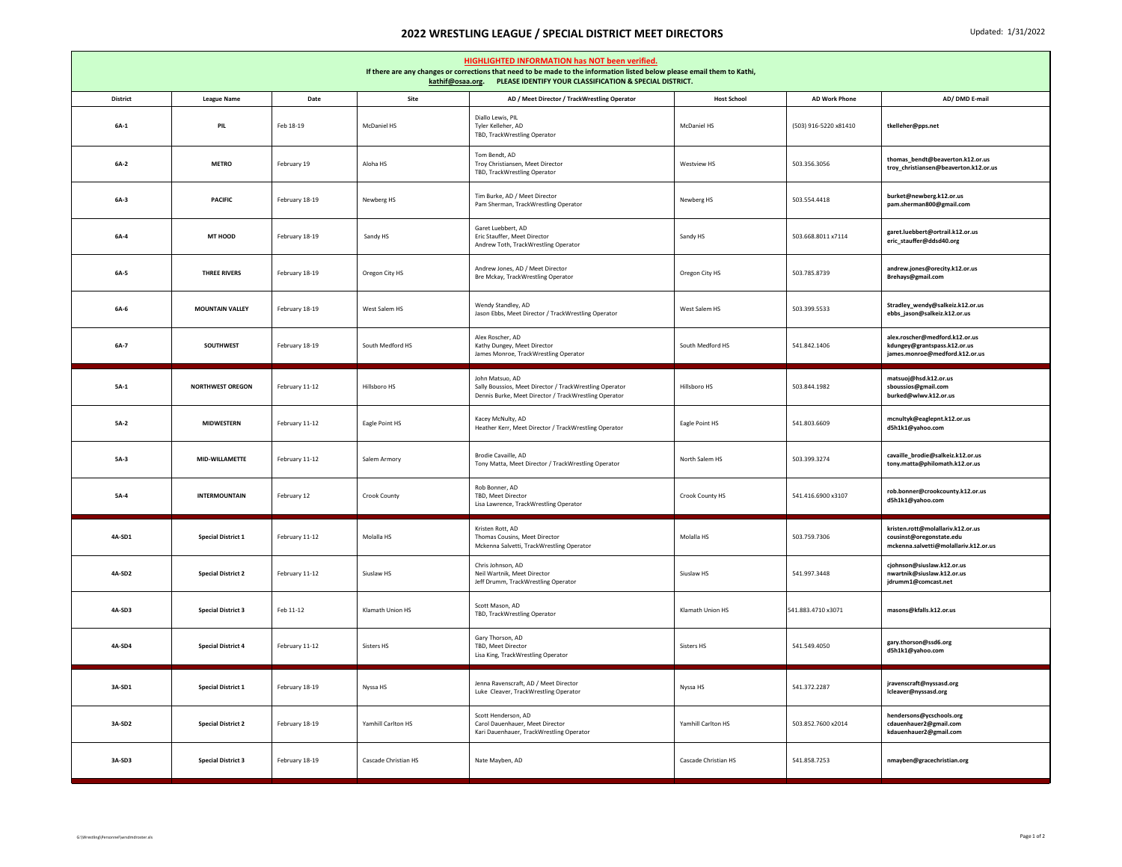## **2022 WRESTLING LEAGUE / SPECIAL DISTRICT MEET DIRECTORS** Updated: 1/31/2022

| HIGHLIGHTED INFORMATION has NOT been verified.<br>If there are any changes or corrections that need to be made to the information listed below please email them to Kathi,<br>kathif@osaa.org. PLEASE IDENTIFY YOUR CLASSIFICATION & SPECIAL DISTRICT. |                           |                |                      |                                                                                                                                     |                      |                       |                                                                                                        |  |  |  |  |
|--------------------------------------------------------------------------------------------------------------------------------------------------------------------------------------------------------------------------------------------------------|---------------------------|----------------|----------------------|-------------------------------------------------------------------------------------------------------------------------------------|----------------------|-----------------------|--------------------------------------------------------------------------------------------------------|--|--|--|--|
| <b>District</b>                                                                                                                                                                                                                                        | <b>League Name</b>        | Date           | Site                 | AD / Meet Director / TrackWrestling Operator                                                                                        | <b>Host School</b>   | <b>AD Work Phone</b>  | AD/ DMD E-mail                                                                                         |  |  |  |  |
| $6A-1$                                                                                                                                                                                                                                                 | PIL                       | Feb 18-19      | McDaniel HS          | Diallo Lewis, PIL<br>Tyler Kelleher, AD<br>TBD, TrackWrestling Operator                                                             | <b>McDaniel HS</b>   | (503) 916-5220 x81410 | tkelleher@pps.net                                                                                      |  |  |  |  |
| $6A-2$                                                                                                                                                                                                                                                 | <b>METRO</b>              | February 19    | Aloha HS             | Tom Bendt, AD<br>Troy Christiansen, Meet Director<br>TBD, TrackWrestling Operator                                                   | Westview HS          | 503.356.3056          | thomas_bendt@beaverton.k12.or.us<br>troy_christiansen@beaverton.k12.or.us                              |  |  |  |  |
| $6A-3$                                                                                                                                                                                                                                                 | <b>PACIFIC</b>            | February 18-19 | Newberg HS           | Tim Burke, AD / Meet Director<br>Pam Sherman, TrackWrestling Operator                                                               | Newberg HS           | 503.554.4418          | burket@newberg.k12.or.us<br>pam.sherman800@gmail.com                                                   |  |  |  |  |
| $6A-4$                                                                                                                                                                                                                                                 | MT HOOD                   | February 18-19 | Sandy HS             | Garet Luebbert, AD<br>Eric Stauffer, Meet Director<br>Andrew Toth, TrackWrestling Operator                                          | Sandy HS             | 503.668.8011 x7114    | garet.luebbert@ortrail.k12.or.us<br>eric_stauffer@ddsd40.org                                           |  |  |  |  |
| 6A-5                                                                                                                                                                                                                                                   | <b>THREE RIVERS</b>       | February 18-19 | Oregon City HS       | Andrew Jones, AD / Meet Director<br>Bre Mckay, TrackWrestling Operator                                                              | Oregon City HS       | 503.785.8739          | andrew.jones@orecity.k12.or.us<br>Brehays@gmail.com                                                    |  |  |  |  |
| 6A-6                                                                                                                                                                                                                                                   | <b>MOUNTAIN VALLEY</b>    | February 18-19 | West Salem HS        | Wendy Standley, AD<br>Jason Ebbs, Meet Director / TrackWrestling Operator                                                           | West Salem HS        | 503.399.5533          | Stradley_wendy@salkeiz.k12.or.us<br>ebbs_jason@salkeiz.k12.or.us                                       |  |  |  |  |
| 6A-7                                                                                                                                                                                                                                                   | SOUTHWEST                 | February 18-19 | South Medford HS     | Alex Roscher, AD<br>Kathy Dungey, Meet Director<br>James Monroe, TrackWrestling Operator                                            | South Medford HS     | 541.842.1406          | alex.roscher@medford.k12.or.us<br>kdungey@grantspass.k12.or.us<br>james.monroe@medford.k12.or.us       |  |  |  |  |
| $5A-1$                                                                                                                                                                                                                                                 | <b>NORTHWEST OREGON</b>   | February 11-12 | Hillsboro HS         | John Matsuo, AD<br>Sally Boussios, Meet Director / TrackWrestling Operator<br>Dennis Burke, Meet Director / TrackWrestling Operator | Hillsboro HS         | 503.844.1982          | matsuoj@hsd.k12.or.us<br>sboussios@gmail.com<br>burked@wlwv.k12.or.us                                  |  |  |  |  |
| 5A-2                                                                                                                                                                                                                                                   | <b>MIDWESTERN</b>         | February 11-12 | Eagle Point HS       | Kacey McNulty, AD<br>Heather Kerr, Meet Director / TrackWrestling Operator                                                          | Eagle Point HS       | 541.803.6609          | mcnultyk@eaglepnt.k12.or.us<br>d5h1k1@yahoo.com                                                        |  |  |  |  |
| $5A-3$                                                                                                                                                                                                                                                 | MID-WILLAMETTE            | February 11-12 | Salem Armory         | Brodie Cavaille, AD<br>Tony Matta, Meet Director / TrackWrestling Operator                                                          | North Salem HS       | 503.399.3274          | cavaille_brodie@salkeiz.k12.or.us<br>tony.matta@philomath.k12.or.us                                    |  |  |  |  |
| $5A-4$                                                                                                                                                                                                                                                 | <b>INTERMOUNTAIN</b>      | February 12    | Crook County         | Rob Bonner, AD<br>TBD. Meet Director<br>Lisa Lawrence, TrackWrestling Operator                                                      | Crook County HS      | 541.416.6900 x3107    | rob.bonner@crookcounty.k12.or.us<br>d5h1k1@yahoo.com                                                   |  |  |  |  |
| 4A-SD1                                                                                                                                                                                                                                                 | <b>Special District 1</b> | February 11-12 | Molalla HS           | Kristen Rott, AD<br>Thomas Cousins, Meet Director<br>Mckenna Salvetti, TrackWrestling Operator                                      | Molalla HS           | 503.759.7306          | kristen.rott@molallariv.k12.or.us<br>cousinst@oregonstate.edu<br>mckenna.salvetti@molallariv.k12.or.us |  |  |  |  |
| 4A-SD2                                                                                                                                                                                                                                                 | <b>Special District 2</b> | February 11-12 | Siuslaw HS           | Chris Johnson, AD<br>Neil Wartnik, Meet Director<br>Jeff Drumm, TrackWrestling Operator                                             | Siuslaw HS           | 541.997.3448          | cjohnson@siuslaw.k12.or.us<br>nwartnik@siuslaw.k12.or.us<br>jdrumm1@comcast.net                        |  |  |  |  |
| 4A-SD3                                                                                                                                                                                                                                                 | <b>Special District 3</b> | Feb 11-12      | Klamath Union HS     | Scott Mason, AD<br>TBD, TrackWrestling Operator                                                                                     | Klamath Union HS     | 541.883.4710 x3071    | masons@kfalls.k12.or.us                                                                                |  |  |  |  |
| 4A-SD4                                                                                                                                                                                                                                                 | <b>Special District 4</b> | February 11-12 | Sisters HS           | Gary Thorson, AD<br>TBD, Meet Director<br>Lisa King, TrackWrestling Operator                                                        | Sisters HS           | 541.549.4050          | gary.thorson@ssd6.org<br>d5h1k1@yahoo.com                                                              |  |  |  |  |
| 3A-SD1                                                                                                                                                                                                                                                 | <b>Special District 1</b> | February 18-19 | Nyssa HS             | Jenna Ravenscraft, AD / Meet Director<br>Luke Cleaver, TrackWrestling Operator                                                      | Nyssa HS             | 541.372.2287          | jravenscraft@nyssasd.org<br>Icleaver@nyssasd.org                                                       |  |  |  |  |
| 3A-SD2                                                                                                                                                                                                                                                 | <b>Special District 2</b> | February 18-19 | Yamhill Carlton HS   | Scott Henderson, AD<br>Carol Dauenhauer, Meet Director<br>Kari Dauenhauer, TrackWrestling Operator                                  | Yamhill Carlton HS   | 503.852.7600 x2014    | hendersons@ycschools.org<br>cdauenhauer2@gmail.com<br>kdauenhauer2@gmail.com                           |  |  |  |  |
| 3A-SD3                                                                                                                                                                                                                                                 | <b>Special District 3</b> | February 18-19 | Cascade Christian HS | Nate Mayben, AD                                                                                                                     | Cascade Christian HS | 541.858.7253          | nmayben@gracechristian.org                                                                             |  |  |  |  |